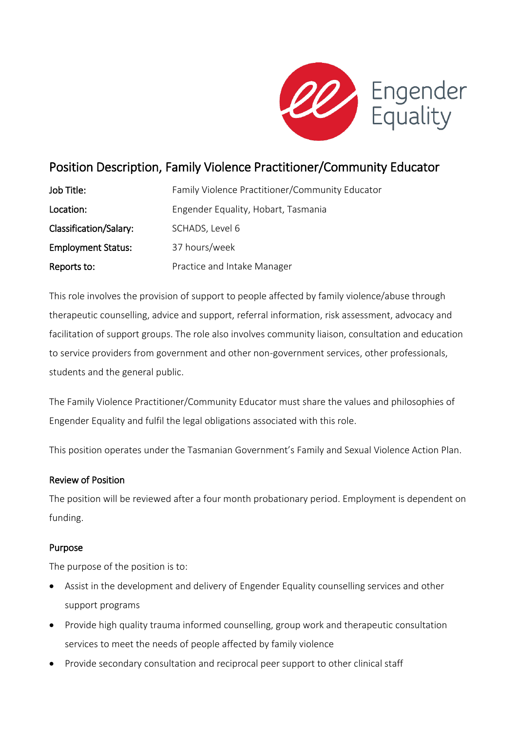

# Position Description, Family Violence Practitioner/Community Educator

| Job Title:                | Family Violence Practitioner/Community Educator |
|---------------------------|-------------------------------------------------|
| Location:                 | Engender Equality, Hobart, Tasmania             |
| Classification/Salary:    | SCHADS, Level 6                                 |
| <b>Employment Status:</b> | 37 hours/week                                   |
| Reports to:               | Practice and Intake Manager                     |

This role involves the provision of support to people affected by family violence/abuse through therapeutic counselling, advice and support, referral information, risk assessment, advocacy and facilitation of support groups. The role also involves community liaison, consultation and education to service providers from government and other non-government services, other professionals, students and the general public.

The Family Violence Practitioner/Community Educator must share the values and philosophies of Engender Equality and fulfil the legal obligations associated with this role.

This position operates under the Tasmanian Government's Family and Sexual Violence Action Plan.

## Review of Position

The position will be reviewed after a four month probationary period. Employment is dependent on funding.

## Purpose

The purpose of the position is to:

- Assist in the development and delivery of Engender Equality counselling services and other support programs
- Provide high quality trauma informed counselling, group work and therapeutic consultation services to meet the needs of people affected by family violence
- Provide secondary consultation and reciprocal peer support to other clinical staff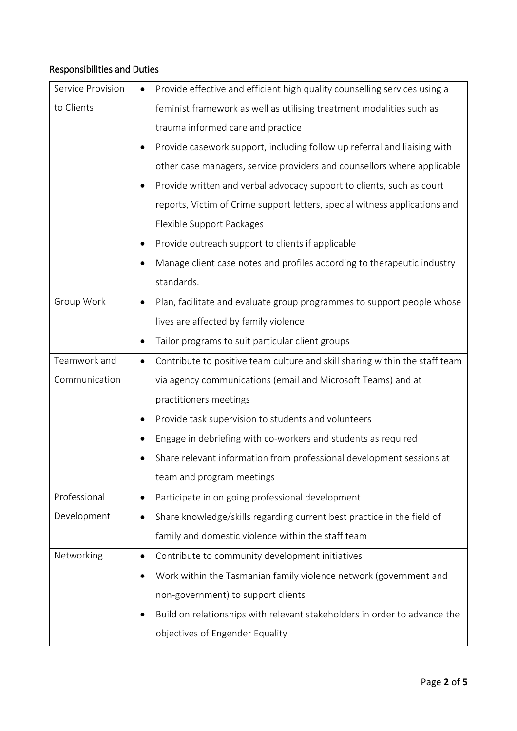## Responsibilities and Duties

| Service Provision | Provide effective and efficient high quality counselling services using a<br>$\bullet$ |
|-------------------|----------------------------------------------------------------------------------------|
| to Clients        | feminist framework as well as utilising treatment modalities such as                   |
|                   | trauma informed care and practice                                                      |
|                   | Provide casework support, including follow up referral and liaising with<br>$\bullet$  |
|                   | other case managers, service providers and counsellors where applicable                |
|                   | Provide written and verbal advocacy support to clients, such as court<br>$\bullet$     |
|                   | reports, Victim of Crime support letters, special witness applications and             |
|                   | Flexible Support Packages                                                              |
|                   | Provide outreach support to clients if applicable<br>$\bullet$                         |
|                   | Manage client case notes and profiles according to therapeutic industry<br>$\bullet$   |
|                   | standards.                                                                             |
| Group Work        | Plan, facilitate and evaluate group programmes to support people whose<br>$\bullet$    |
|                   | lives are affected by family violence                                                  |
|                   | Tailor programs to suit particular client groups                                       |
| Teamwork and      | Contribute to positive team culture and skill sharing within the staff team<br>٠       |
| Communication     | via agency communications (email and Microsoft Teams) and at                           |
|                   | practitioners meetings                                                                 |
|                   | Provide task supervision to students and volunteers                                    |
|                   | Engage in debriefing with co-workers and students as required                          |
|                   | Share relevant information from professional development sessions at                   |
|                   | team and program meetings                                                              |
| Professional      | Participate in on going professional development<br>٠                                  |
| Development       | Share knowledge/skills regarding current best practice in the field of<br>$\bullet$    |
|                   | family and domestic violence within the staff team                                     |
| Networking        | Contribute to community development initiatives<br>$\bullet$                           |
|                   | Work within the Tasmanian family violence network (government and<br>$\bullet$         |
|                   | non-government) to support clients                                                     |
|                   | Build on relationships with relevant stakeholders in order to advance the<br>$\bullet$ |
|                   | objectives of Engender Equality                                                        |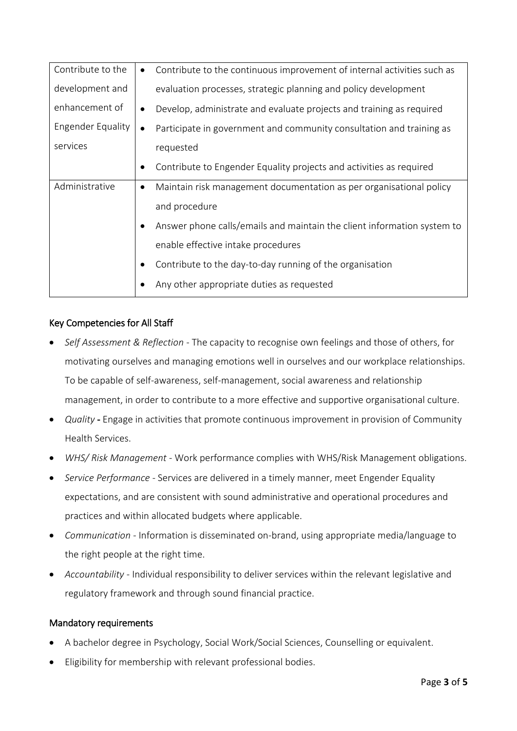| Contribute to the | Contribute to the continuous improvement of internal activities such as<br>$\bullet$ |
|-------------------|--------------------------------------------------------------------------------------|
| development and   | evaluation processes, strategic planning and policy development                      |
| enhancement of    | Develop, administrate and evaluate projects and training as required                 |
| Engender Equality | Participate in government and community consultation and training as<br>$\bullet$    |
| services          | requested                                                                            |
|                   | Contribute to Engender Equality projects and activities as required                  |
| Administrative    | Maintain risk management documentation as per organisational policy<br>$\bullet$     |
|                   | and procedure                                                                        |
|                   | Answer phone calls/emails and maintain the client information system to              |
|                   | enable effective intake procedures                                                   |
|                   | Contribute to the day-to-day running of the organisation                             |
|                   | Any other appropriate duties as requested                                            |

## Key Competencies for All Staff

- *Self Assessment & Reflection* The capacity to recognise own feelings and those of others, for motivating ourselves and managing emotions well in ourselves and our workplace relationships. To be capable of self-awareness, self-management, social awareness and relationship management, in order to contribute to a more effective and supportive organisational culture.
- *Quality* Engage in activities that promote continuous improvement in provision of Community Health Services.
- *WHS/ Risk Management -* Work performance complies with WHS/Risk Management obligations.
- *Service Performance -* Services are delivered in a timely manner, meet Engender Equality expectations, and are consistent with sound administrative and operational procedures and practices and within allocated budgets where applicable.
- *Communication -* Information is disseminated on-brand, using appropriate media/language to the right people at the right time.
- *Accountability -* Individual responsibility to deliver services within the relevant legislative and regulatory framework and through sound financial practice.

## Mandatory requirements

- A bachelor degree in Psychology, Social Work/Social Sciences, Counselling or equivalent.
- Eligibility for membership with relevant professional bodies.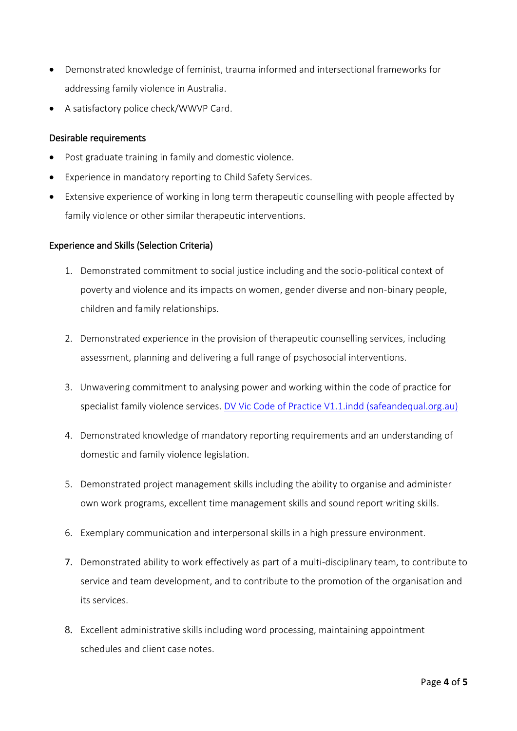- Demonstrated knowledge of feminist, trauma informed and intersectional frameworks for addressing family violence in Australia.
- A satisfactory police check/WWVP Card.

#### Desirable requirements

- Post graduate training in family and domestic violence.
- Experience in mandatory reporting to Child Safety Services.
- Extensive experience of working in long term therapeutic counselling with people affected by family violence or other similar therapeutic interventions.

#### Experience and Skills (Selection Criteria)

- 1. Demonstrated commitment to social justice including and the socio-political context of poverty and violence and its impacts on women, gender diverse and non-binary people, children and family relationships.
- 2. Demonstrated experience in the provision of therapeutic counselling services, including assessment, planning and delivering a full range of psychosocial interventions.
- 3. Unwavering commitment to analysing power and working within the code of practice for specialist family violence services. [DV Vic Code of Practice V1.1.indd \(safeandequal.org.au\)](https://safeandequal.org.au/wp-content/uploads/DV-Vic-Code-of-Practice-V2-FINAL.pdf)
- 4. Demonstrated knowledge of mandatory reporting requirements and an understanding of domestic and family violence legislation.
- 5. Demonstrated project management skills including the ability to organise and administer own work programs, excellent time management skills and sound report writing skills.
- 6. Exemplary communication and interpersonal skills in a high pressure environment.
- 7. Demonstrated ability to work effectively as part of a multi-disciplinary team, to contribute to service and team development, and to contribute to the promotion of the organisation and its services.
- 8. Excellent administrative skills including word processing, maintaining appointment schedules and client case notes.